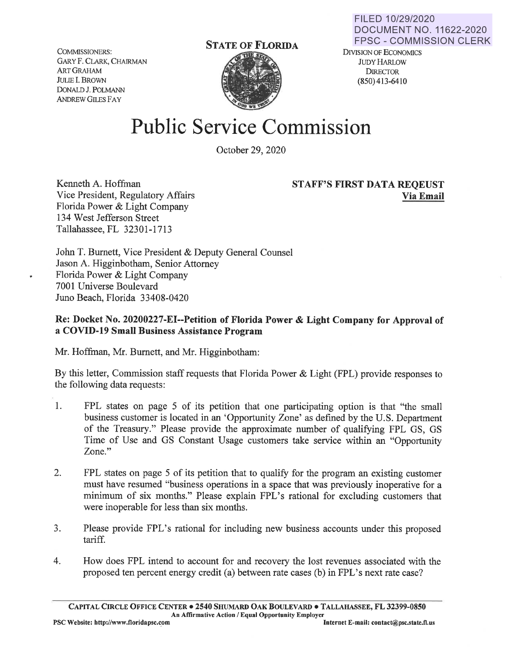COMMISSIONERS: GARY F. CLARK, CHAIRMAN ARTGRAHAM JULIE I. BROWN DONALD J. POLMANN ANDREW GILES FAY



## **Public Service Commission**

October 29, 2020

Kenneth A. Hoffman Vice President, Regulatory Affairs Florida Power & Light Company 134 West Jefferson Street Tallahassee, FL 32301-1713

## **STAFF'S FIRST DATA REQEUST Via Email**

John T. Burnett, Vice President & Deputy General Counsel Jason A. Higginbotham, Senior Attorney Florida Power & Light Company 7001 Universe Boulevard Juno Beach, Florida 33408-0420

## **Re: Docket No. 20200227-EI--Petition of Florida Power** & **Light Company for Approval of a COVID-19 Small Business Assistance Program**

Mr. Hoffman, Mr. Burnett, and Mr. Higginbotham:

By this letter, Commission staff requests that Florida Power & Light (FPL) provide responses to the following data requests:

- 1. FPL states on page 5 of its petition that one participating option is that "the small business customer is located in an 'Opportunity Zone' as defined by the U.S. Department of the Treasury." Please provide the approximate number of qualifying FPL GS, GS Time of Use and GS Constant Usage customers take service within an "Opportunity Zone."
- 2. FPL states on page 5 of its petition that to qualify for the program an existing customer must have resumed "business operations in a space that was previously inoperative for a minimum of six months." Please explain FPL's rational for excluding customers that were inoperable for less than six months.
- 3. Please provide FPL's rational for including new business accounts under this proposed tariff.
- 4. How does FPL intend to account for and recovery the lost revenues associated with the proposed ten percent energy credit (a) between rate cases (b) in FPL's next rate case?